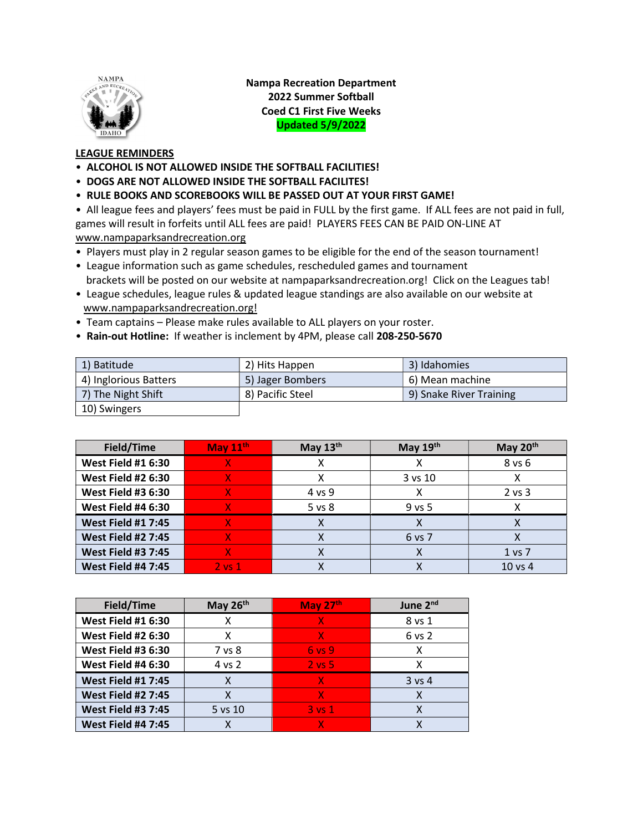

Nampa Recreation Department 2022 Summer Softball Coed C1 First Five Weeks Updated 5/9/2022

## LEAGUE REMINDERS

- ALCOHOL IS NOT ALLOWED INSIDE THE SOFTBALL FACILITIES!
- DOGS ARE NOT ALLOWED INSIDE THE SOFTBALL FACILITES!
- RULE BOOKS AND SCOREBOOKS WILL BE PASSED OUT AT YOUR FIRST GAME!

• All league fees and players' fees must be paid in FULL by the first game. If ALL fees are not paid in full, games will result in forfeits until ALL fees are paid! PLAYERS FEES CAN BE PAID ON-LINE AT www.nampaparksandrecreation.org

- Players must play in 2 regular season games to be eligible for the end of the season tournament!
- League information such as game schedules, rescheduled games and tournament brackets will be posted on our website at nampaparksandrecreation.org! Click on the Leagues tab!
- League schedules, league rules & updated league standings are also available on our website at www.nampaparksandrecreation.org!
- Team captains Please make rules available to ALL players on your roster.
- Rain-out Hotline: If weather is inclement by 4PM, please call 208-250-5670

| 1) Batitude           | 2) Hits Happen   | 3) Idahomies            |
|-----------------------|------------------|-------------------------|
| 4) Inglorious Batters | 5) Jager Bombers | 6) Mean machine         |
| 7) The Night Shift    | 8) Pacific Steel | 9) Snake River Training |
| 10) Swingers          |                  |                         |

| Field/Time                | May 11th   | May $13th$ | May $19th$ | May $20th$ |
|---------------------------|------------|------------|------------|------------|
| <b>West Field #1 6:30</b> |            |            |            | 8 vs 6     |
| <b>West Field #2 6:30</b> |            |            | 3 vs 10    |            |
| <b>West Field #3 6:30</b> |            | 4 vs 9     |            | $2$ vs $3$ |
| <b>West Field #4 6:30</b> |            | 5 vs 8     | $9$ vs 5   |            |
| <b>West Field #1 7:45</b> |            |            |            |            |
| <b>West Field #2 7:45</b> |            |            | 6 vs 7     |            |
| <b>West Field #3 7:45</b> |            |            | x          | 1 vs 7     |
| <b>West Field #4 7:45</b> | $2$ vs $1$ |            |            | $10$ vs 4  |

| Field/Time                | May 26th | May 27th   | June 2 <sup>nd</sup> |
|---------------------------|----------|------------|----------------------|
| <b>West Field #1 6:30</b> | x        | x          | 8 vs 1               |
| <b>West Field #2 6:30</b> | X        | x          | 6 vs 2               |
| <b>West Field #3 6:30</b> | 7 vs 8   | 6 vs 9     | x                    |
| <b>West Field #4 6:30</b> | 4 vs 2   | $2$ vs $5$ | x                    |
| <b>West Field #1 7:45</b> |          | X          | $3$ vs 4             |
| <b>West Field #2 7:45</b> |          | X          |                      |
| <b>West Field #3 7:45</b> | 5 vs 10  | $3$ vs $1$ |                      |
| <b>West Field #4 7:45</b> |          | X          |                      |